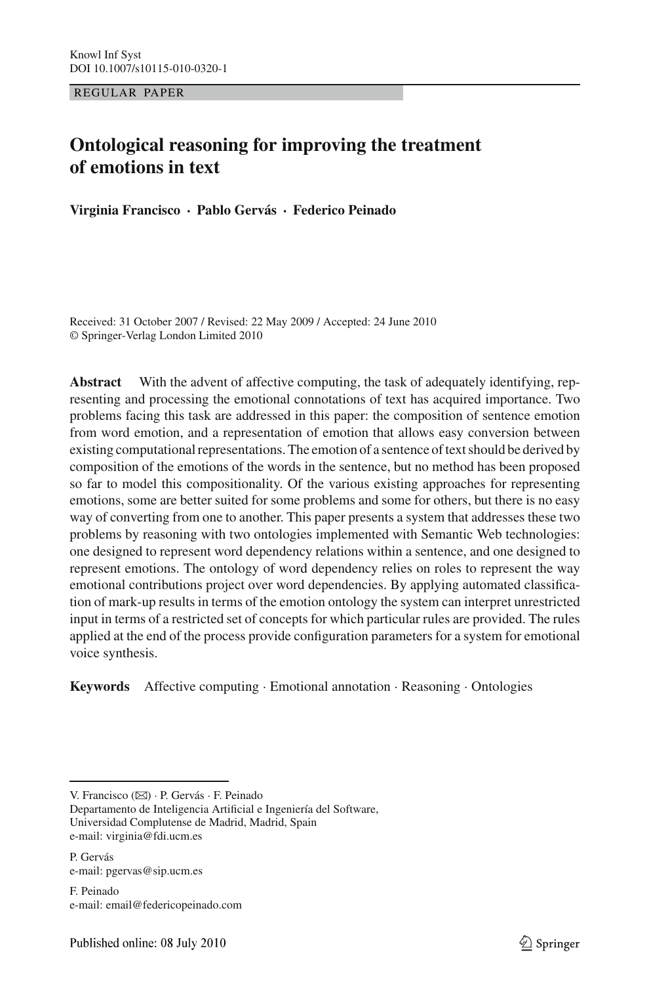REGULAR PAPER

# **Ontological reasoning for improving the treatment of emotions in text**

**Virginia Francisco · Pablo Gervás · Federico Peinado**

Received: 31 October 2007 / Revised: 22 May 2009 / Accepted: 24 June 2010 © Springer-Verlag London Limited 2010

**Abstract** With the advent of affective computing, the task of adequately identifying, representing and processing the emotional connotations of text has acquired importance. Two problems facing this task are addressed in this paper: the composition of sentence emotion from word emotion, and a representation of emotion that allows easy conversion between existing computational representations. The emotion of a sentence of text should be derived by composition of the emotions of the words in the sentence, but no method has been proposed so far to model this compositionality. Of the various existing approaches for representing emotions, some are better suited for some problems and some for others, but there is no easy way of converting from one to another. This paper presents a system that addresses these two problems by reasoning with two ontologies implemented with Semantic Web technologies: one designed to represent word dependency relations within a sentence, and one designed to represent emotions. The ontology of word dependency relies on roles to represent the way emotional contributions project over word dependencies. By applying automated classification of mark-up results in terms of the emotion ontology the system can interpret unrestricted input in terms of a restricted set of concepts for which particular rules are provided. The rules applied at the end of the process provide configuration parameters for a system for emotional voice synthesis.

**Keywords** Affective computing · Emotional annotation · Reasoning · Ontologies

V. Francisco (B) · P. Gervás · F. Peinado

Departamento de Inteligencia Artificial e Ingeniería del Software, Universidad Complutense de Madrid, Madrid, Spain

e-mail: virginia@fdi.ucm.es

P. Gervás e-mail: pgervas@sip.ucm.es

F. Peinado e-mail: email@federicopeinado.com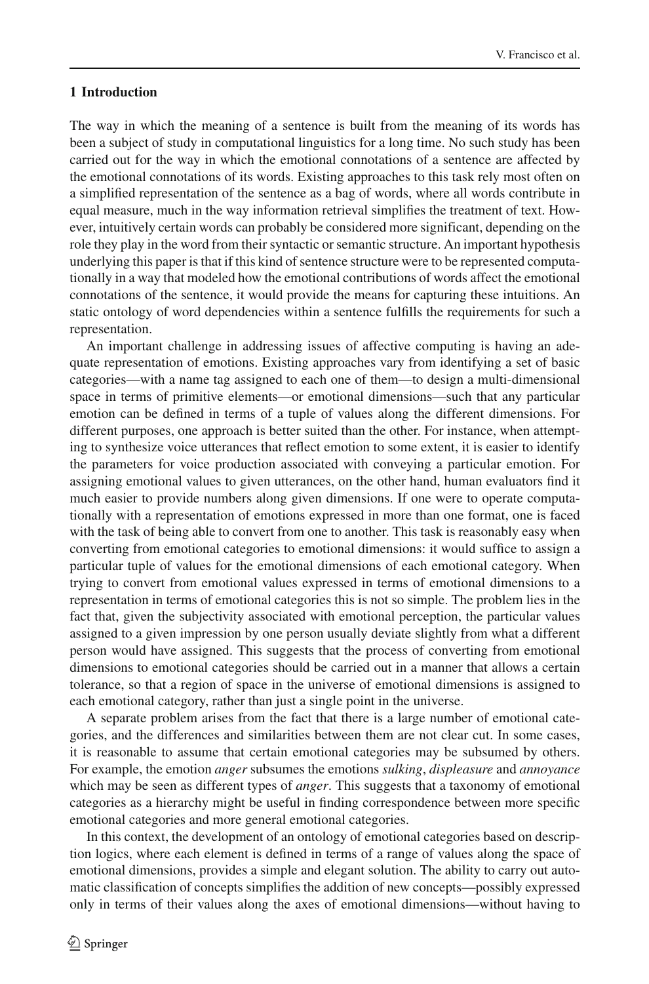## **1 Introduction**

The way in which the meaning of a sentence is built from the meaning of its words has been a subject of study in computational linguistics for a long time. No such study has been carried out for the way in which the emotional connotations of a sentence are affected by the emotional connotations of its words. Existing approaches to this task rely most often on a simplified representation of the sentence as a bag of words, where all words contribute in equal measure, much in the way information retrieval simplifies the treatment of text. However, intuitively certain words can probably be considered more significant, depending on the role they play in the word from their syntactic or semantic structure. An important hypothesis underlying this paper is that if this kind of sentence structure were to be represented computationally in a way that modeled how the emotional contributions of words affect the emotional connotations of the sentence, it would provide the means for capturing these intuitions. An static ontology of word dependencies within a sentence fulfills the requirements for such a representation.

An important challenge in addressing issues of affective computing is having an adequate representation of emotions. Existing approaches vary from identifying a set of basic categories—with a name tag assigned to each one of them—to design a multi-dimensional space in terms of primitive elements—or emotional dimensions—such that any particular emotion can be defined in terms of a tuple of values along the different dimensions. For different purposes, one approach is better suited than the other. For instance, when attempting to synthesize voice utterances that reflect emotion to some extent, it is easier to identify the parameters for voice production associated with conveying a particular emotion. For assigning emotional values to given utterances, on the other hand, human evaluators find it much easier to provide numbers along given dimensions. If one were to operate computationally with a representation of emotions expressed in more than one format, one is faced with the task of being able to convert from one to another. This task is reasonably easy when converting from emotional categories to emotional dimensions: it would suffice to assign a particular tuple of values for the emotional dimensions of each emotional category. When trying to convert from emotional values expressed in terms of emotional dimensions to a representation in terms of emotional categories this is not so simple. The problem lies in the fact that, given the subjectivity associated with emotional perception, the particular values assigned to a given impression by one person usually deviate slightly from what a different person would have assigned. This suggests that the process of converting from emotional dimensions to emotional categories should be carried out in a manner that allows a certain tolerance, so that a region of space in the universe of emotional dimensions is assigned to each emotional category, rather than just a single point in the universe.

A separate problem arises from the fact that there is a large number of emotional categories, and the differences and similarities between them are not clear cut. In some cases, it is reasonable to assume that certain emotional categories may be subsumed by others. For example, the emotion *anger* subsumes the emotions *sulking*, *displeasure* and *annoyance* which may be seen as different types of *anger*. This suggests that a taxonomy of emotional categories as a hierarchy might be useful in finding correspondence between more specific emotional categories and more general emotional categories.

In this context, the development of an ontology of emotional categories based on description logics, where each element is defined in terms of a range of values along the space of emotional dimensions, provides a simple and elegant solution. The ability to carry out automatic classification of concepts simplifies the addition of new concepts—possibly expressed only in terms of their values along the axes of emotional dimensions—without having to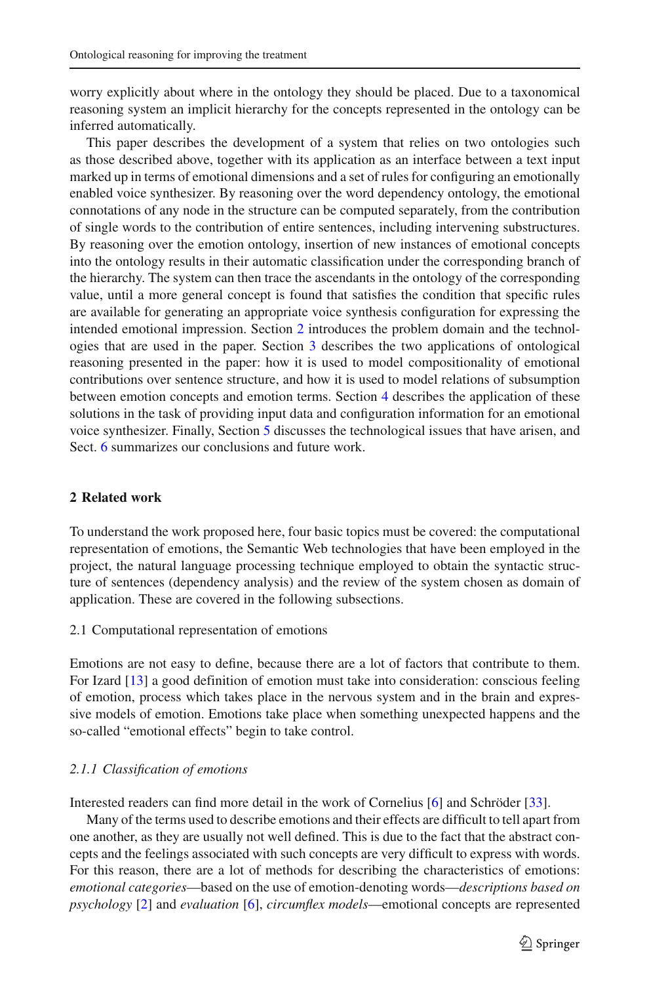worry explicitly about where in the ontology they should be placed. Due to a taxonomical reasoning system an implicit hierarchy for the concepts represented in the ontology can be inferred automatically.

This paper describes the development of a system that relies on two ontologies such as those described above, together with its application as an interface between a text input marked up in terms of emotional dimensions and a set of rules for configuring an emotionally enabled voice synthesizer. By reasoning over the word dependency ontology, the emotional connotations of any node in the structure can be computed separately, from the contribution of single words to the contribution of entire sentences, including intervening substructures. By reasoning over the emotion ontology, insertion of new instances of emotional concepts into the ontology results in their automatic classification under the corresponding branch of the hierarchy. The system can then trace the ascendants in the ontology of the corresponding value, until a more general concept is found that satisfies the condition that specific rules are available for generating an appropriate voice synthesis configuration for expressing the intended emotional impression. Section [2](#page-2-0) introduces the problem domain and the technologies that are used in the paper. Section [3](#page-8-0) describes the two applications of ontological reasoning presented in the paper: how it is used to model compositionality of emotional contributions over sentence structure, and how it is used to model relations of subsumption between emotion concepts and emotion terms. Section [4](#page-15-0) describes the application of these solutions in the task of providing input data and configuration information for an emotional voice synthesizer. Finally, Section [5](#page-17-0) discusses the technological issues that have arisen, and Sect. [6](#page-19-0) summarizes our conclusions and future work.

## <span id="page-2-0"></span>**2 Related work**

To understand the work proposed here, four basic topics must be covered: the computational representation of emotions, the Semantic Web technologies that have been employed in the project, the natural language processing technique employed to obtain the syntactic structure of sentences (dependency analysis) and the review of the system chosen as domain of application. These are covered in the following subsections.

#### 2.1 Computational representation of emotions

Emotions are not easy to define, because there are a lot of factors that contribute to them. For Izard [\[13](#page-21-0)] a good definition of emotion must take into consideration: conscious feeling of emotion, process which takes place in the nervous system and in the brain and expressive models of emotion. Emotions take place when something unexpected happens and the so-called "emotional effects" begin to take control.

## *2.1.1 Classification of emotions*

Interested readers can find more detail in the work of Cornelius [\[6](#page-21-1)] and Schröder [\[33\]](#page-21-2).

Many of the terms used to describe emotions and their effects are difficult to tell apart from one another, as they are usually not well defined. This is due to the fact that the abstract concepts and the feelings associated with such concepts are very difficult to express with words. For this reason, there are a lot of methods for describing the characteristics of emotions: *emotional categories*—based on the use of emotion-denoting words—*descriptions based on psychology* [\[2](#page-20-0)] and *evaluation* [\[6\]](#page-21-1), *circumflex models*—emotional concepts are represented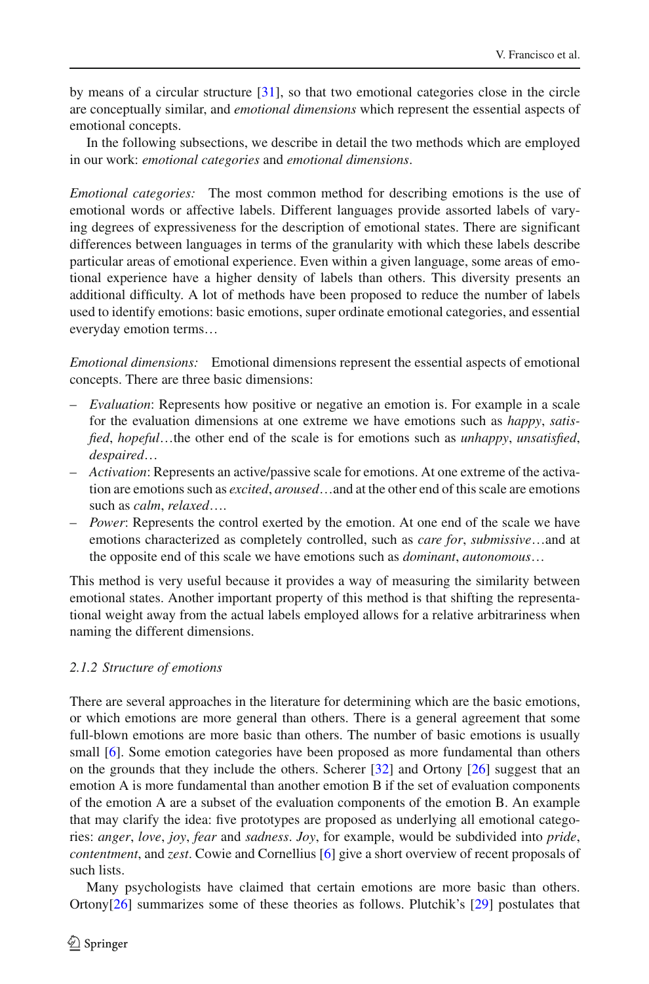by means of a circular structure [\[31\]](#page-21-3), so that two emotional categories close in the circle are conceptually similar, and *emotional dimensions* which represent the essential aspects of emotional concepts.

In the following subsections, we describe in detail the two methods which are employed in our work: *emotional categories* and *emotional dimensions*.

*Emotional categories:* The most common method for describing emotions is the use of emotional words or affective labels. Different languages provide assorted labels of varying degrees of expressiveness for the description of emotional states. There are significant differences between languages in terms of the granularity with which these labels describe particular areas of emotional experience. Even within a given language, some areas of emotional experience have a higher density of labels than others. This diversity presents an additional difficulty. A lot of methods have been proposed to reduce the number of labels used to identify emotions: basic emotions, super ordinate emotional categories, and essential everyday emotion terms…

*Emotional dimensions:* Emotional dimensions represent the essential aspects of emotional concepts. There are three basic dimensions:

- *Evaluation*: Represents how positive or negative an emotion is. For example in a scale for the evaluation dimensions at one extreme we have emotions such as *happy*, *satisfied*, *hopeful*…the other end of the scale is for emotions such as *unhappy*, *unsatisfied*, *despaired*…
- *Activation*: Represents an active/passive scale for emotions. At one extreme of the activation are emotions such as *excited*, *aroused*…and at the other end of this scale are emotions such as *calm*, *relaxed*….
- *Power*: Represents the control exerted by the emotion. At one end of the scale we have emotions characterized as completely controlled, such as *care for*, *submissive*…and at the opposite end of this scale we have emotions such as *dominant*, *autonomous*…

This method is very useful because it provides a way of measuring the similarity between emotional states. Another important property of this method is that shifting the representational weight away from the actual labels employed allows for a relative arbitrariness when naming the different dimensions.

#### <span id="page-3-0"></span>*2.1.2 Structure of emotions*

There are several approaches in the literature for determining which are the basic emotions, or which emotions are more general than others. There is a general agreement that some full-blown emotions are more basic than others. The number of basic emotions is usually small [\[6\]](#page-21-1). Some emotion categories have been proposed as more fundamental than others on the grounds that they include the others. Scherer [\[32\]](#page-21-4) and Ortony [\[26](#page-21-5)] suggest that an emotion A is more fundamental than another emotion B if the set of evaluation components of the emotion A are a subset of the evaluation components of the emotion B. An example that may clarify the idea: five prototypes are proposed as underlying all emotional categories: *anger*, *love*, *joy*, *fear* and *sadness*. *Joy*, for example, would be subdivided into *pride*, *contentment*, and *zest*. Cowie and Cornellius [\[6](#page-21-1)] give a short overview of recent proposals of such lists.

Many psychologists have claimed that certain emotions are more basic than others. Ortony[\[26](#page-21-5)] summarizes some of these theories as follows. Plutchik's [\[29](#page-21-6)] postulates that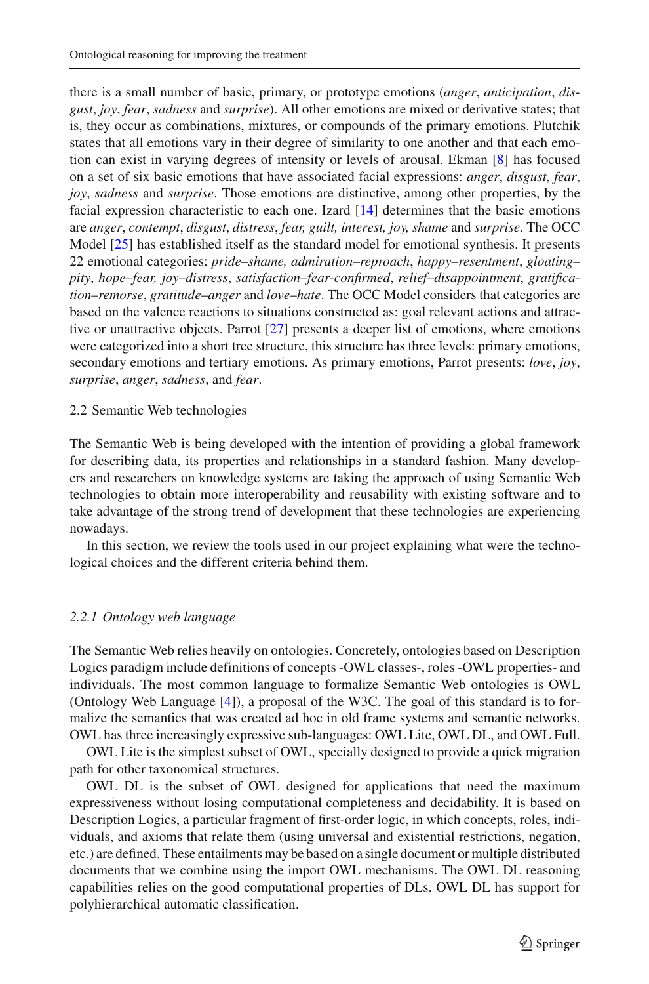there is a small number of basic, primary, or prototype emotions (*anger*, *anticipation*, *disgust*, *joy*, *fear*, *sadness* and *surprise*). All other emotions are mixed or derivative states; that is, they occur as combinations, mixtures, or compounds of the primary emotions. Plutchik states that all emotions vary in their degree of similarity to one another and that each emotion can exist in varying degrees of intensity or levels of arousal. Ekman [\[8](#page-21-7)] has focused on a set of six basic emotions that have associated facial expressions: *anger*, *disgust*, *fear*, *joy*, *sadness* and *surprise*. Those emotions are distinctive, among other properties, by the facial expression characteristic to each one. Izard [\[14](#page-21-8)] determines that the basic emotions are *anger*, *contempt*, *disgust*, *distress*, *fear, guilt, interest, joy, shame* and *surprise*. The OCC Model [\[25](#page-21-9)] has established itself as the standard model for emotional synthesis. It presents 22 emotional categories: *pride*–*shame, admiration*–*reproach*, *happy*–*resentment*, *gloating*– *pity*, *hope*–*fear, joy*–*distress*, *satisfaction*–*fear-confirmed*, *relief*–*disappointment*, *gratification*–*remorse*, *gratitude*–*anger* and *love*–*hate*. The OCC Model considers that categories are based on the valence reactions to situations constructed as: goal relevant actions and attractive or unattractive objects. Parrot [\[27](#page-21-10)] presents a deeper list of emotions, where emotions were categorized into a short tree structure, this structure has three levels: primary emotions, secondary emotions and tertiary emotions. As primary emotions, Parrot presents: *love*, *joy*, *surprise*, *anger*, *sadness*, and *fear*.

#### 2.2 Semantic Web technologies

The Semantic Web is being developed with the intention of providing a global framework for describing data, its properties and relationships in a standard fashion. Many developers and researchers on knowledge systems are taking the approach of using Semantic Web technologies to obtain more interoperability and reusability with existing software and to take advantage of the strong trend of development that these technologies are experiencing nowadays.

In this section, we review the tools used in our project explaining what were the technological choices and the different criteria behind them.

#### *2.2.1 Ontology web language*

The Semantic Web relies heavily on ontologies. Concretely, ontologies based on Description Logics paradigm include definitions of concepts -OWL classes-, roles -OWL properties- and individuals. The most common language to formalize Semantic Web ontologies is OWL (Ontology Web Language [\[4\]](#page-21-11)), a proposal of the W3C. The goal of this standard is to formalize the semantics that was created ad hoc in old frame systems and semantic networks. OWL has three increasingly expressive sub-languages: OWL Lite, OWL DL, and OWL Full.

OWL Lite is the simplest subset of OWL, specially designed to provide a quick migration path for other taxonomical structures.

OWL DL is the subset of OWL designed for applications that need the maximum expressiveness without losing computational completeness and decidability. It is based on Description Logics, a particular fragment of first-order logic, in which concepts, roles, individuals, and axioms that relate them (using universal and existential restrictions, negation, etc.) are defined. These entailments may be based on a single document or multiple distributed documents that we combine using the import OWL mechanisms. The OWL DL reasoning capabilities relies on the good computational properties of DLs. OWL DL has support for polyhierarchical automatic classification.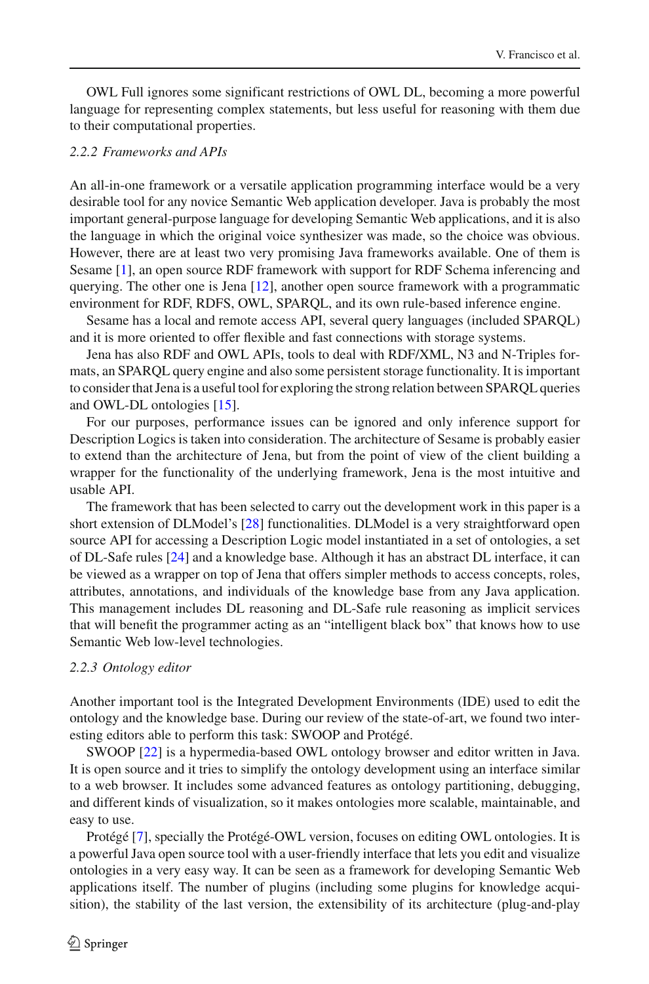OWL Full ignores some significant restrictions of OWL DL, becoming a more powerful language for representing complex statements, but less useful for reasoning with them due to their computational properties.

## *2.2.2 Frameworks and APIs*

An all-in-one framework or a versatile application programming interface would be a very desirable tool for any novice Semantic Web application developer. Java is probably the most important general-purpose language for developing Semantic Web applications, and it is also the language in which the original voice synthesizer was made, so the choice was obvious. However, there are at least two very promising Java frameworks available. One of them is Sesame [\[1](#page-20-1)], an open source RDF framework with support for RDF Schema inferencing and querying. The other one is Jena [\[12](#page-21-12)], another open source framework with a programmatic environment for RDF, RDFS, OWL, SPARQL, and its own rule-based inference engine.

Sesame has a local and remote access API, several query languages (included SPARQL) and it is more oriented to offer flexible and fast connections with storage systems.

Jena has also RDF and OWL APIs, tools to deal with RDF/XML, N3 and N-Triples formats, an SPARQL query engine and also some persistent storage functionality. It is important to consider that Jena is a useful tool for exploring the strong relation between SPARQL queries and OWL-DL ontologies [\[15](#page-21-13)].

For our purposes, performance issues can be ignored and only inference support for Description Logics is taken into consideration. The architecture of Sesame is probably easier to extend than the architecture of Jena, but from the point of view of the client building a wrapper for the functionality of the underlying framework, Jena is the most intuitive and usable API.

The framework that has been selected to carry out the development work in this paper is a short extension of DLModel's [\[28\]](#page-21-14) functionalities. DLModel is a very straightforward open source API for accessing a Description Logic model instantiated in a set of ontologies, a set of DL-Safe rules [\[24](#page-21-15)] and a knowledge base. Although it has an abstract DL interface, it can be viewed as a wrapper on top of Jena that offers simpler methods to access concepts, roles, attributes, annotations, and individuals of the knowledge base from any Java application. This management includes DL reasoning and DL-Safe rule reasoning as implicit services that will benefit the programmer acting as an "intelligent black box" that knows how to use Semantic Web low-level technologies.

## *2.2.3 Ontology editor*

Another important tool is the Integrated Development Environments (IDE) used to edit the ontology and the knowledge base. During our review of the state-of-art, we found two interesting editors able to perform this task: SWOOP and Protégé.

SWOOP [\[22\]](#page-21-16) is a hypermedia-based OWL ontology browser and editor written in Java. It is open source and it tries to simplify the ontology development using an interface similar to a web browser. It includes some advanced features as ontology partitioning, debugging, and different kinds of visualization, so it makes ontologies more scalable, maintainable, and easy to use.

Protégé [\[7](#page-21-17)], specially the Protégé-OWL version, focuses on editing OWL ontologies. It is a powerful Java open source tool with a user-friendly interface that lets you edit and visualize ontologies in a very easy way. It can be seen as a framework for developing Semantic Web applications itself. The number of plugins (including some plugins for knowledge acquisition), the stability of the last version, the extensibility of its architecture (plug-and-play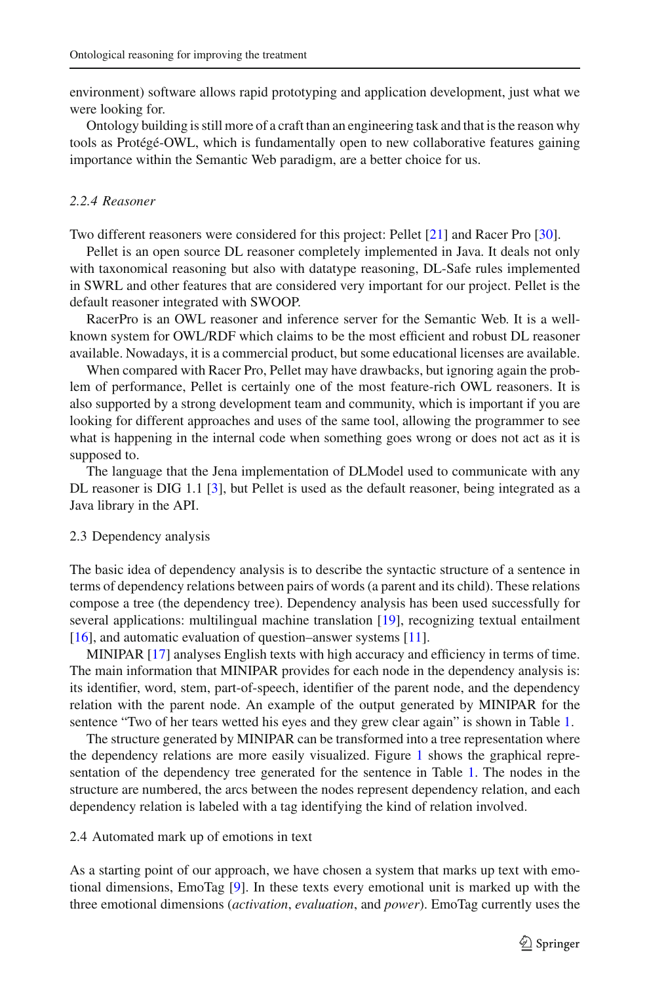environment) software allows rapid prototyping and application development, just what we were looking for.

Ontology building is still more of a craft than an engineering task and that is the reason why tools as Protégé-OWL, which is fundamentally open to new collaborative features gaining importance within the Semantic Web paradigm, are a better choice for us.

#### *2.2.4 Reasoner*

Two different reasoners were considered for this project: Pellet [\[21\]](#page-21-18) and Racer Pro [\[30\]](#page-21-19).

Pellet is an open source DL reasoner completely implemented in Java. It deals not only with taxonomical reasoning but also with datatype reasoning, DL-Safe rules implemented in SWRL and other features that are considered very important for our project. Pellet is the default reasoner integrated with SWOOP.

RacerPro is an OWL reasoner and inference server for the Semantic Web. It is a wellknown system for OWL/RDF which claims to be the most efficient and robust DL reasoner available. Nowadays, it is a commercial product, but some educational licenses are available.

When compared with Racer Pro, Pellet may have drawbacks, but ignoring again the problem of performance, Pellet is certainly one of the most feature-rich OWL reasoners. It is also supported by a strong development team and community, which is important if you are looking for different approaches and uses of the same tool, allowing the programmer to see what is happening in the internal code when something goes wrong or does not act as it is supposed to.

The language that the Jena implementation of DLModel used to communicate with any DL reasoner is DIG 1.1 [\[3\]](#page-21-20), but Pellet is used as the default reasoner, being integrated as a Java library in the API.

#### <span id="page-6-0"></span>2.3 Dependency analysis

The basic idea of dependency analysis is to describe the syntactic structure of a sentence in terms of dependency relations between pairs of words (a parent and its child). These relations compose a tree (the dependency tree). Dependency analysis has been used successfully for several applications: multilingual machine translation [\[19](#page-21-21)], recognizing textual entailment [\[16\]](#page-21-22), and automatic evaluation of question–answer systems [\[11\]](#page-21-23).

MINIPAR [\[17](#page-21-24)] analyses English texts with high accuracy and efficiency in terms of time. The main information that MINIPAR provides for each node in the dependency analysis is: its identifier, word, stem, part-of-speech, identifier of the parent node, and the dependency relation with the parent node. An example of the output generated by MINIPAR for the sentence "Two of her tears wetted his eyes and they grew clear again" is shown in Table [1.](#page-7-0)

The structure generated by MINIPAR can be transformed into a tree representation where the dependency relations are more easily visualized. Figure [1](#page-7-1) shows the graphical representation of the dependency tree generated for the sentence in Table [1.](#page-7-0) The nodes in the structure are numbered, the arcs between the nodes represent dependency relation, and each dependency relation is labeled with a tag identifying the kind of relation involved.

2.4 Automated mark up of emotions in text

As a starting point of our approach, we have chosen a system that marks up text with emotional dimensions, EmoTag [\[9](#page-21-25)]. In these texts every emotional unit is marked up with the three emotional dimensions (*activation*, *evaluation*, and *power*). EmoTag currently uses the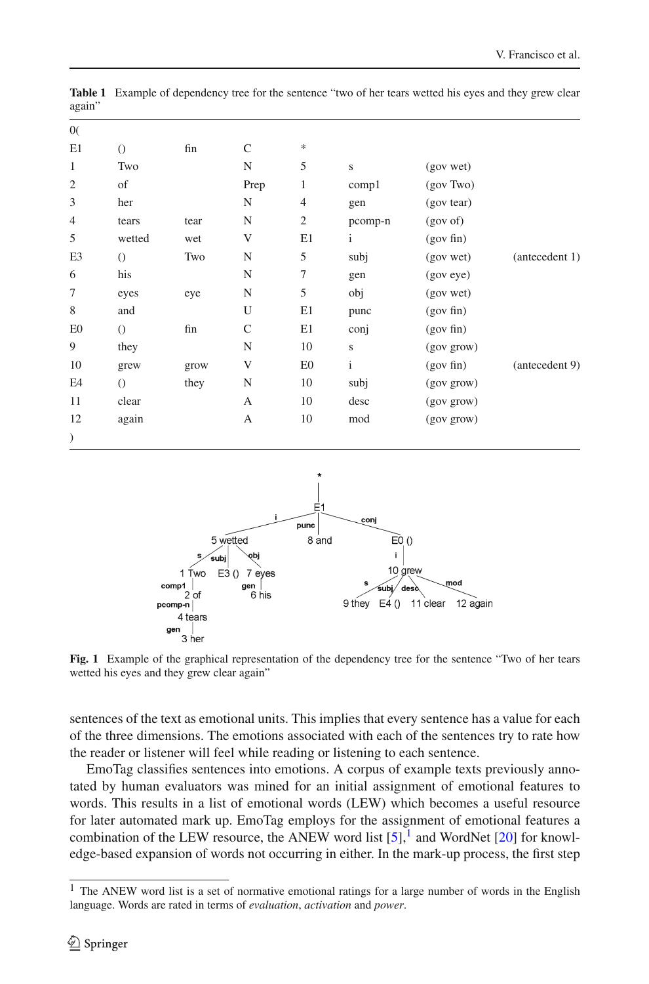<span id="page-7-0"></span>

| 0(             |          |      |               |                   |              |                    |                |
|----------------|----------|------|---------------|-------------------|--------------|--------------------|----------------|
| E1             | $\theta$ | fin  | $\mathcal{C}$ | $\frac{1}{2} \xi$ |              |                    |                |
| $\mathbf{1}$   | Two      |      | N             | 5                 | $\mathbf S$  | (gov wet)          |                |
| $\mathfrak{2}$ | of       |      | Prep          | 1                 | comp1        | (gov Two)          |                |
| 3              | her      |      | N             | $\overline{4}$    | gen          | (gov tear)         |                |
| $\overline{4}$ | tears    | tear | N             | $\mathfrak{2}$    | pcomp-n      | $(gov \text{ of})$ |                |
| 5              | wetted   | wet  | V             | E1                | i            | (gov fin)          |                |
| E3             | $\theta$ | Two  | N             | 5                 | subj         | (gov wet)          | (antecedent 1) |
| 6              | his      |      | N             | 7                 | gen          | (gov eye)          |                |
| $\overline{7}$ | eyes     | eye  | N             | 5                 | obj          | (gov wet)          |                |
| 8              | and      |      | U             | E1                | punc         | (gov fin)          |                |
| E0             | $\Omega$ | fin  | $\mathsf{C}$  | E1                | conj         | (gov fin)          |                |
| 9              | they     |      | N             | 10                | $\mathbf S$  | (gov grow)         |                |
| 10             | grew     | grow | V             | E0                | $\mathbf{i}$ | (gov fin)          | (antecedent 9) |
| E4             | $\Omega$ | they | N             | 10                | subj         | (gov grow)         |                |
| 11             | clear    |      | A             | 10                | desc         | (gov grow)         |                |
| 12             | again    |      | А             | 10                | mod          | (gov grow)         |                |
| $\mathcal{L}$  |          |      |               |                   |              |                    |                |
|                |          |      |               |                   |              |                    |                |

**Table 1** Example of dependency tree for the sentence "two of her tears wetted his eyes and they grew clear again"



<span id="page-7-1"></span>**Fig. 1** Example of the graphical representation of the dependency tree for the sentence "Two of her tears wetted his eyes and they grew clear again"

sentences of the text as emotional units. This implies that every sentence has a value for each of the three dimensions. The emotions associated with each of the sentences try to rate how the reader or listener will feel while reading or listening to each sentence.

EmoTag classifies sentences into emotions. A corpus of example texts previously annotated by human evaluators was mined for an initial assignment of emotional features to words. This results in a list of emotional words (LEW) which becomes a useful resource for later automated mark up. EmoTag employs for the assignment of emotional features a combination of the LEW resource, the ANEW word list  $[5]$ ,<sup>[1](#page-7-2)</sup> and WordNet  $[20]$  $[20]$  for knowledge-based expansion of words not occurring in either. In the mark-up process, the first step

<span id="page-7-2"></span><sup>&</sup>lt;sup>1</sup> The ANEW word list is a set of normative emotional ratings for a large number of words in the English language. Words are rated in terms of *evaluation*, *activation* and *power*.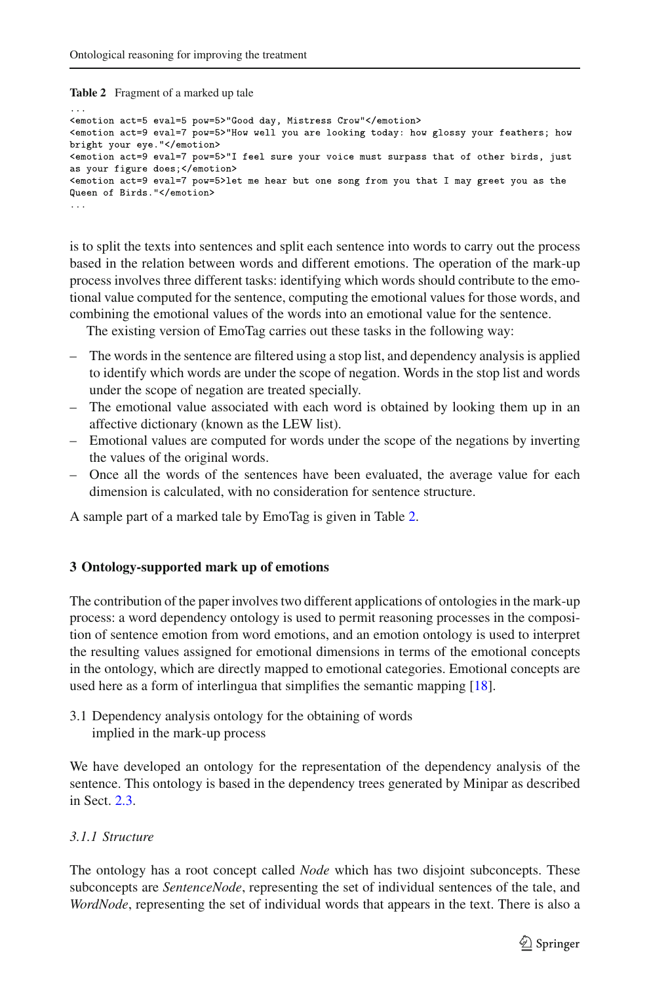#### **Table 2** Fragment of a marked up tale

```
<emotion act=5 eval=5 pow=5>"Good day, Mistress Crow"</emotion>
<emotion act=9 eval=7 pow=5>"How well you are looking today: how glossy your feathers; how
bright your eve."</emotion>
<emotion act=9 eval=7 pow=5>"I feel sure your voice must surpass that of other birds, just
as your figure does; </emotion>
<emotion act=9 eval=7 pow=5>let me hear but one song from you that I may greet you as the
Queen of Birds."</emotion>
\ldots
```
is to split the texts into sentences and split each sentence into words to carry out the process based in the relation between words and different emotions. The operation of the mark-up process involves three different tasks: identifying which words should contribute to the emotional value computed for the sentence, computing the emotional values for those words, and combining the emotional values of the words into an emotional value for the sentence.

The existing version of EmoTag carries out these tasks in the following way:

- The words in the sentence are filtered using a stop list, and dependency analysis is applied to identify which words are under the scope of negation. Words in the stop list and words under the scope of negation are treated specially.
- The emotional value associated with each word is obtained by looking them up in an affective dictionary (known as the LEW list).
- Emotional values are computed for words under the scope of the negations by inverting the values of the original words.
- Once all the words of the sentences have been evaluated, the average value for each dimension is calculated, with no consideration for sentence structure.

A sample part of a marked tale by EmoTag is given in Table [2.](#page-8-1)

## <span id="page-8-0"></span>**3 Ontology-supported mark up of emotions**

The contribution of the paper involves two different applications of ontologies in the mark-up process: a word dependency ontology is used to permit reasoning processes in the composition of sentence emotion from word emotions, and an emotion ontology is used to interpret the resulting values assigned for emotional dimensions in terms of the emotional concepts in the ontology, which are directly mapped to emotional categories. Emotional concepts are used here as a form of interlingua that simplifies the semantic mapping [\[18\]](#page-21-28).

3.1 Dependency analysis ontology for the obtaining of words implied in the mark-up process

We have developed an ontology for the representation of the dependency analysis of the sentence. This ontology is based in the dependency trees generated by Minipar as described in Sect. [2.3.](#page-6-0)

## *3.1.1 Structure*

The ontology has a root concept called *Node* which has two disjoint subconcepts. These subconcepts are *SentenceNode*, representing the set of individual sentences of the tale, and *WordNode*, representing the set of individual words that appears in the text. There is also a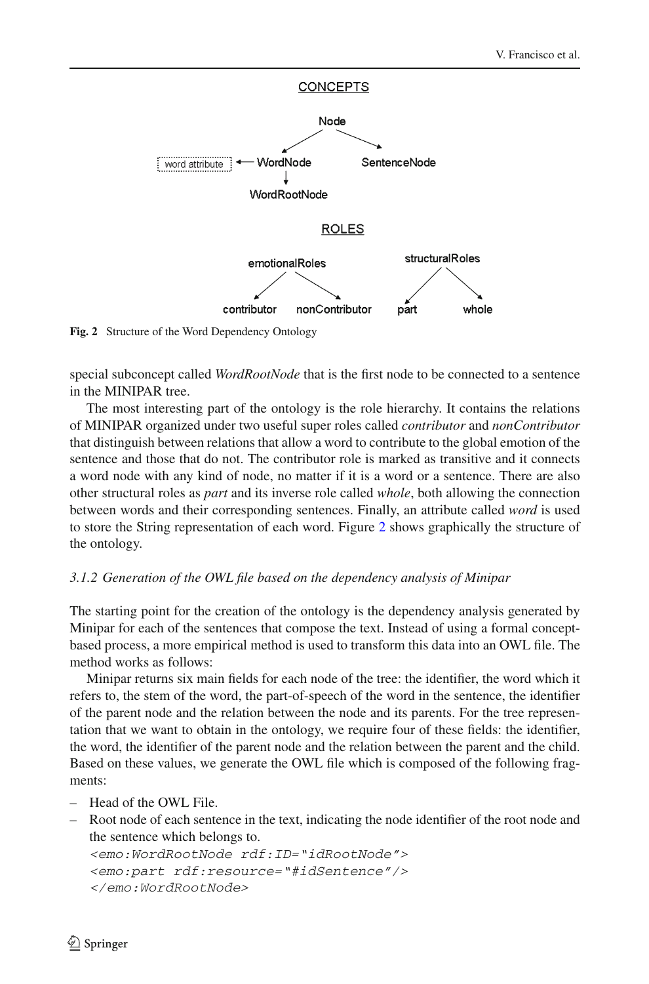

<span id="page-9-0"></span>**Fig. 2** Structure of the Word Dependency Ontology

special subconcept called *WordRootNode* that is the first node to be connected to a sentence in the MINIPAR tree.

The most interesting part of the ontology is the role hierarchy. It contains the relations of MINIPAR organized under two useful super roles called *contributor* and *nonContributor* that distinguish between relations that allow a word to contribute to the global emotion of the sentence and those that do not. The contributor role is marked as transitive and it connects a word node with any kind of node, no matter if it is a word or a sentence. There are also other structural roles as *part* and its inverse role called *whole*, both allowing the connection between words and their corresponding sentences. Finally, an attribute called *word* is used to store the String representation of each word. Figure [2](#page-9-0) shows graphically the structure of the ontology.

## *3.1.2 Generation of the OWL file based on the dependency analysis of Minipar*

The starting point for the creation of the ontology is the dependency analysis generated by Minipar for each of the sentences that compose the text. Instead of using a formal conceptbased process, a more empirical method is used to transform this data into an OWL file. The method works as follows:

Minipar returns six main fields for each node of the tree: the identifier, the word which it refers to, the stem of the word, the part-of-speech of the word in the sentence, the identifier of the parent node and the relation between the node and its parents. For the tree representation that we want to obtain in the ontology, we require four of these fields: the identifier, the word, the identifier of the parent node and the relation between the parent and the child. Based on these values, we generate the OWL file which is composed of the following fragments:

- Head of the OWL File.
- Root node of each sentence in the text, indicating the node identifier of the root node and the sentence which belongs to.

```
<emo:WordRootNode rdf:ID="idRootNode">
<emo:part rdf:resource="#idSentence"/>
</emo:WordRootNode>
```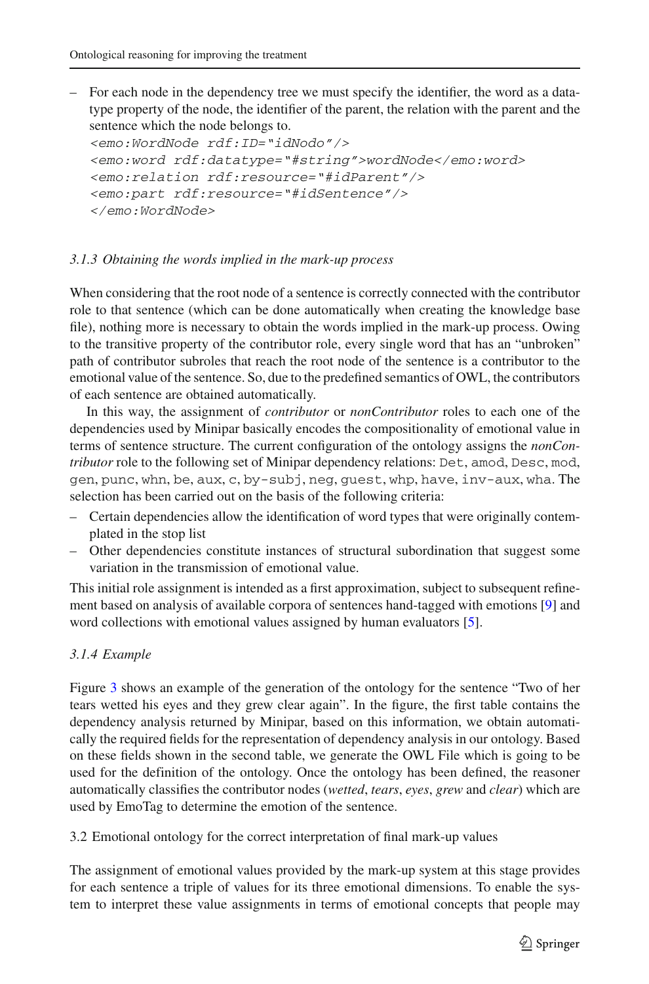– For each node in the dependency tree we must specify the identifier, the word as a datatype property of the node, the identifier of the parent, the relation with the parent and the sentence which the node belongs to.

```
<emo:WordNode rdf:ID="idNodo"/>
<emo:word rdf:datatype="#string">wordNode</emo:word>
<emo:relation rdf:resource="#idParent"/>
<emo:part rdf:resource="#idSentence"/>
</emo:WordNode>
```
## *3.1.3 Obtaining the words implied in the mark-up process*

When considering that the root node of a sentence is correctly connected with the contributor role to that sentence (which can be done automatically when creating the knowledge base file), nothing more is necessary to obtain the words implied in the mark-up process. Owing to the transitive property of the contributor role, every single word that has an "unbroken" path of contributor subroles that reach the root node of the sentence is a contributor to the emotional value of the sentence. So, due to the predefined semantics of OWL, the contributors of each sentence are obtained automatically.

In this way, the assignment of *contributor* or *nonContributor* roles to each one of the dependencies used by Minipar basically encodes the compositionality of emotional value in terms of sentence structure. The current configuration of the ontology assigns the *nonContributor* role to the following set of Minipar dependency relations: Det, amod, Desc, mod, gen, punc, whn, be, aux, c, by-subj, neg, guest, whp, have, inv-aux, wha. The selection has been carried out on the basis of the following criteria:

- Certain dependencies allow the identification of word types that were originally contemplated in the stop list
- Other dependencies constitute instances of structural subordination that suggest some variation in the transmission of emotional value.

This initial role assignment is intended as a first approximation, subject to subsequent refinement based on analysis of available corpora of sentences hand-tagged with emotions [\[9](#page-21-25)] and word collections with emotional values assigned by human evaluators [\[5\]](#page-21-26).

# *3.1.4 Example*

Figure [3](#page-11-0) shows an example of the generation of the ontology for the sentence "Two of her tears wetted his eyes and they grew clear again". In the figure, the first table contains the dependency analysis returned by Minipar, based on this information, we obtain automatically the required fields for the representation of dependency analysis in our ontology. Based on these fields shown in the second table, we generate the OWL File which is going to be used for the definition of the ontology. Once the ontology has been defined, the reasoner automatically classifies the contributor nodes (*wetted*, *tears*, *eyes*, *grew* and *clear*) which are used by EmoTag to determine the emotion of the sentence.

3.2 Emotional ontology for the correct interpretation of final mark-up values

The assignment of emotional values provided by the mark-up system at this stage provides for each sentence a triple of values for its three emotional dimensions. To enable the system to interpret these value assignments in terms of emotional concepts that people may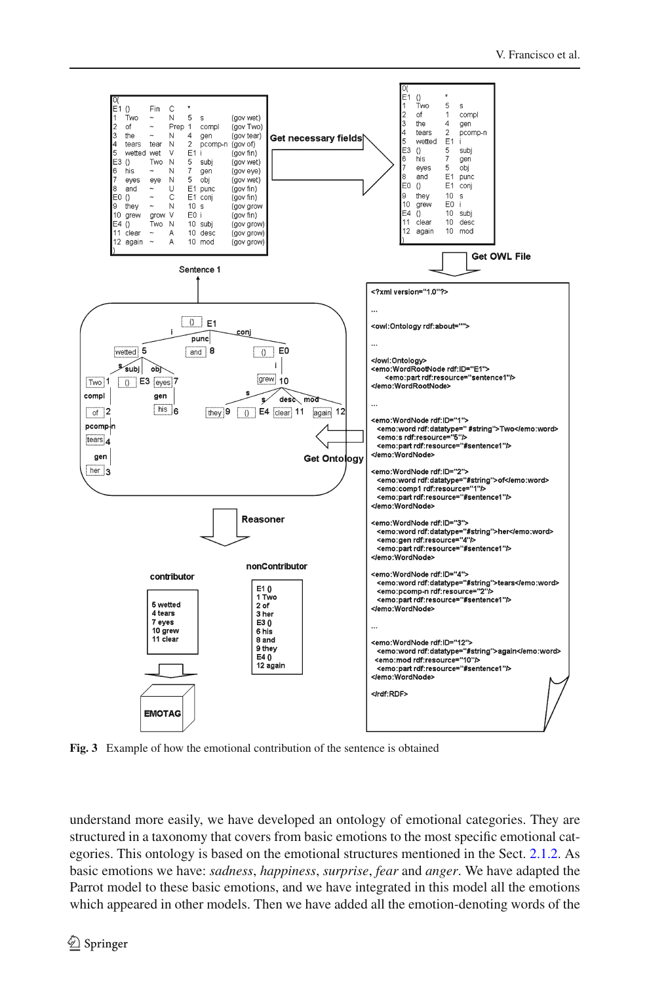

<span id="page-11-0"></span>**Fig. 3** Example of how the emotional contribution of the sentence is obtained

understand more easily, we have developed an ontology of emotional categories. They are structured in a taxonomy that covers from basic emotions to the most specific emotional categories. This ontology is based on the emotional structures mentioned in the Sect. [2.1.2.](#page-3-0) As basic emotions we have: *sadness*, *happiness*, *surprise*, *fear* and *anger*. We have adapted the Parrot model to these basic emotions, and we have integrated in this model all the emotions which appeared in other models. Then we have added all the emotion-denoting words of the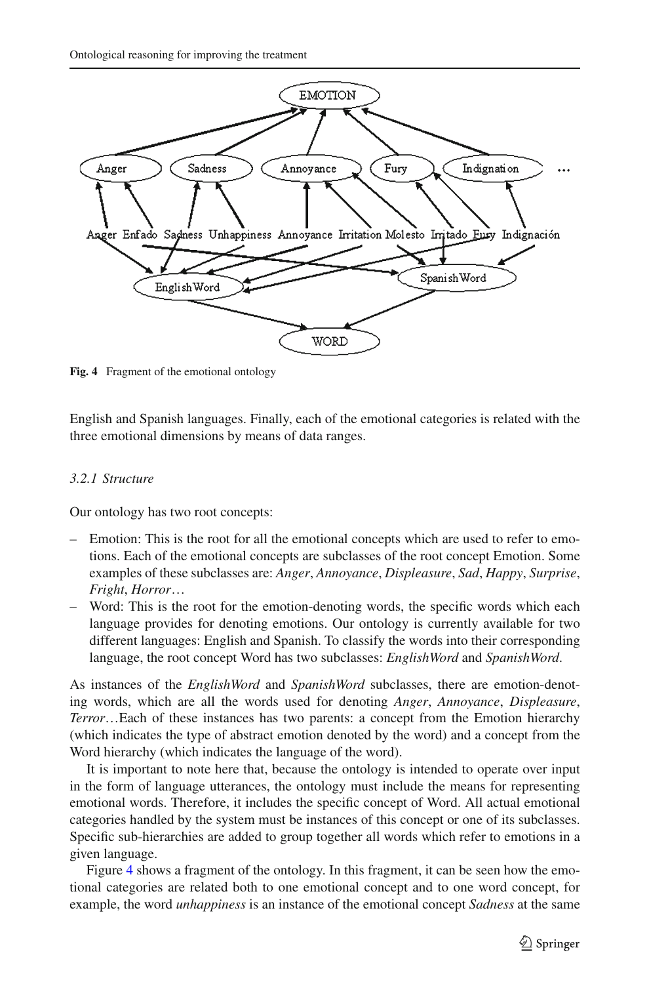

<span id="page-12-0"></span>**Fig. 4** Fragment of the emotional ontology

English and Spanish languages. Finally, each of the emotional categories is related with the three emotional dimensions by means of data ranges.

#### *3.2.1 Structure*

Our ontology has two root concepts:

- Emotion: This is the root for all the emotional concepts which are used to refer to emotions. Each of the emotional concepts are subclasses of the root concept Emotion. Some examples of these subclasses are: *Anger*, *Annoyance*, *Displeasure*, *Sad*, *Happy*, *Surprise*, *Fright*, *Horror*…
- Word: This is the root for the emotion-denoting words, the specific words which each language provides for denoting emotions. Our ontology is currently available for two different languages: English and Spanish. To classify the words into their corresponding language, the root concept Word has two subclasses: *EnglishWord* and *SpanishWord*.

As instances of the *EnglishWord* and *SpanishWord* subclasses, there are emotion-denoting words, which are all the words used for denoting *Anger*, *Annoyance*, *Displeasure*, *Terror*…Each of these instances has two parents: a concept from the Emotion hierarchy (which indicates the type of abstract emotion denoted by the word) and a concept from the Word hierarchy (which indicates the language of the word).

It is important to note here that, because the ontology is intended to operate over input in the form of language utterances, the ontology must include the means for representing emotional words. Therefore, it includes the specific concept of Word. All actual emotional categories handled by the system must be instances of this concept or one of its subclasses. Specific sub-hierarchies are added to group together all words which refer to emotions in a given language.

Figure [4](#page-12-0) shows a fragment of the ontology. In this fragment, it can be seen how the emotional categories are related both to one emotional concept and to one word concept, for example, the word *unhappiness* is an instance of the emotional concept *Sadness* at the same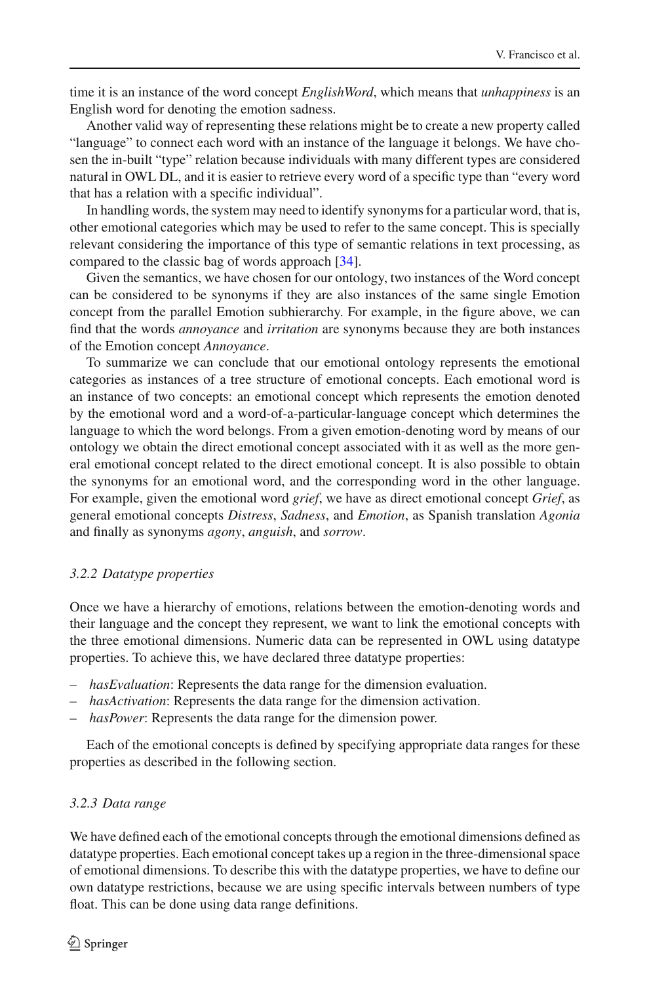time it is an instance of the word concept *EnglishWord*, which means that *unhappiness* is an English word for denoting the emotion sadness.

Another valid way of representing these relations might be to create a new property called "language" to connect each word with an instance of the language it belongs. We have chosen the in-built "type" relation because individuals with many different types are considered natural in OWL DL, and it is easier to retrieve every word of a specific type than "every word that has a relation with a specific individual".

In handling words, the system may need to identify synonyms for a particular word, that is, other emotional categories which may be used to refer to the same concept. This is specially relevant considering the importance of this type of semantic relations in text processing, as compared to the classic bag of words approach [\[34](#page-21-29)].

Given the semantics, we have chosen for our ontology, two instances of the Word concept can be considered to be synonyms if they are also instances of the same single Emotion concept from the parallel Emotion subhierarchy. For example, in the figure above, we can find that the words *annoyance* and *irritation* are synonyms because they are both instances of the Emotion concept *Annoyance*.

To summarize we can conclude that our emotional ontology represents the emotional categories as instances of a tree structure of emotional concepts. Each emotional word is an instance of two concepts: an emotional concept which represents the emotion denoted by the emotional word and a word-of-a-particular-language concept which determines the language to which the word belongs. From a given emotion-denoting word by means of our ontology we obtain the direct emotional concept associated with it as well as the more general emotional concept related to the direct emotional concept. It is also possible to obtain the synonyms for an emotional word, and the corresponding word in the other language. For example, given the emotional word *grief*, we have as direct emotional concept *Grief*, as general emotional concepts *Distress*, *Sadness*, and *Emotion*, as Spanish translation *Agonia* and finally as synonyms *agony*, *anguish*, and *sorrow*.

## *3.2.2 Datatype properties*

Once we have a hierarchy of emotions, relations between the emotion-denoting words and their language and the concept they represent, we want to link the emotional concepts with the three emotional dimensions. Numeric data can be represented in OWL using datatype properties. To achieve this, we have declared three datatype properties:

- *hasEvaluation*: Represents the data range for the dimension evaluation.
- *hasActivation*: Represents the data range for the dimension activation.
- *hasPower*: Represents the data range for the dimension power.

Each of the emotional concepts is defined by specifying appropriate data ranges for these properties as described in the following section.

## *3.2.3 Data range*

We have defined each of the emotional concepts through the emotional dimensions defined as datatype properties. Each emotional concept takes up a region in the three-dimensional space of emotional dimensions. To describe this with the datatype properties, we have to define our own datatype restrictions, because we are using specific intervals between numbers of type float. This can be done using data range definitions.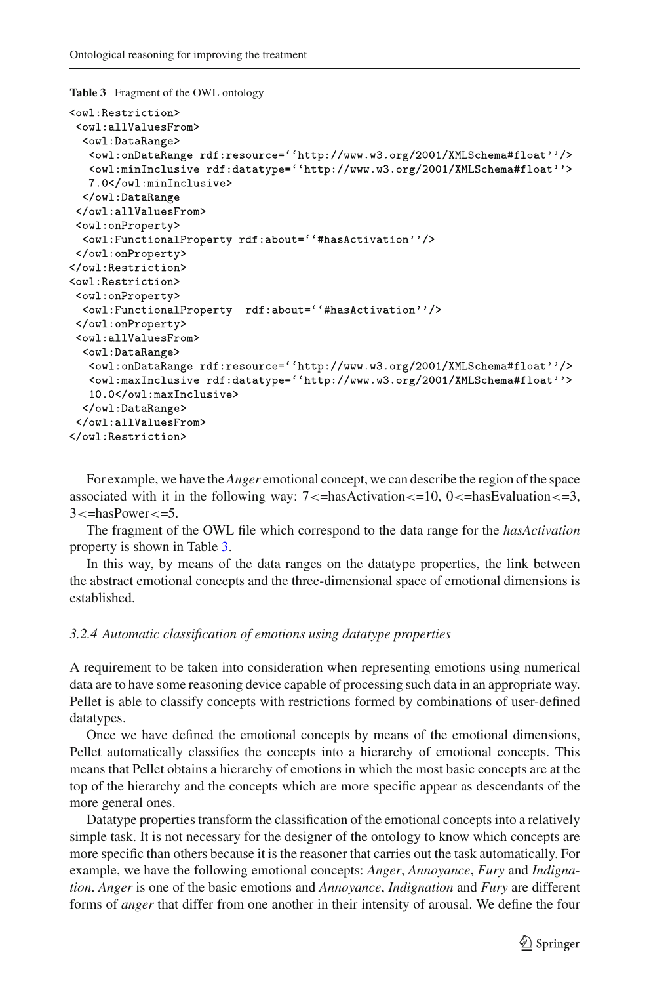**Table 3** Fragment of the OWL ontology

```
<owl:Restriction>
<owl:allValuesFrom>
 <owl:DataRange>
  <owl:onDataRange rdf:resource=''http://www.w3.org/2001/XMLSchema#float''/>
  <owl:minInclusive rdf:datatype=''http://www.w3.org/2001/XMLSchema#float''>
  7.0</owl:minInclusive>
 </owl:DataRange
</owl:allValuesFrom>
<owl:onProperty>
 <owl:FunctionalProperty rdf:about="#hasActivation"/>
</owl:onProperty>
</owl:Restriction>
<owl:Restriction>
<owl:onProperty>
 <owl:FunctionalProperty rdf:about="#hasActivation"/>
</owl:onProperty>
<owl:allValuesFrom>
 <owl:DataRange>
  <owl:onDataRange rdf:resource=''http://www.w3.org/2001/XMLSchema#float''/>
  <owl:maxInclusive rdf:datatype=''http://www.w3.org/2001/XMLSchema#float''>
  10.0</owl:maxInclusive>
 </owl:DataRange>
</owl:allValuesFrom>
</owl:Restriction>
```
For example, we have the *Anger* emotional concept, we can describe the region of the space associated with it in the following way: 7*<*=hasActivation*<*=10, 0*<*=hasEvaluation*<*=3, 3*<*=hasPower*<*=5.

The fragment of the OWL file which correspond to the data range for the *hasActivation* property is shown in Table [3.](#page-14-0)

In this way, by means of the data ranges on the datatype properties, the link between the abstract emotional concepts and the three-dimensional space of emotional dimensions is established.

#### *3.2.4 Automatic classification of emotions using datatype properties*

A requirement to be taken into consideration when representing emotions using numerical data are to have some reasoning device capable of processing such data in an appropriate way. Pellet is able to classify concepts with restrictions formed by combinations of user-defined datatypes.

Once we have defined the emotional concepts by means of the emotional dimensions, Pellet automatically classifies the concepts into a hierarchy of emotional concepts. This means that Pellet obtains a hierarchy of emotions in which the most basic concepts are at the top of the hierarchy and the concepts which are more specific appear as descendants of the more general ones.

Datatype properties transform the classification of the emotional concepts into a relatively simple task. It is not necessary for the designer of the ontology to know which concepts are more specific than others because it is the reasoner that carries out the task automatically. For example, we have the following emotional concepts: *Anger*, *Annoyance*, *Fury* and *Indignation*. *Anger* is one of the basic emotions and *Annoyance*, *Indignation* and *Fury* are different forms of *anger* that differ from one another in their intensity of arousal. We define the four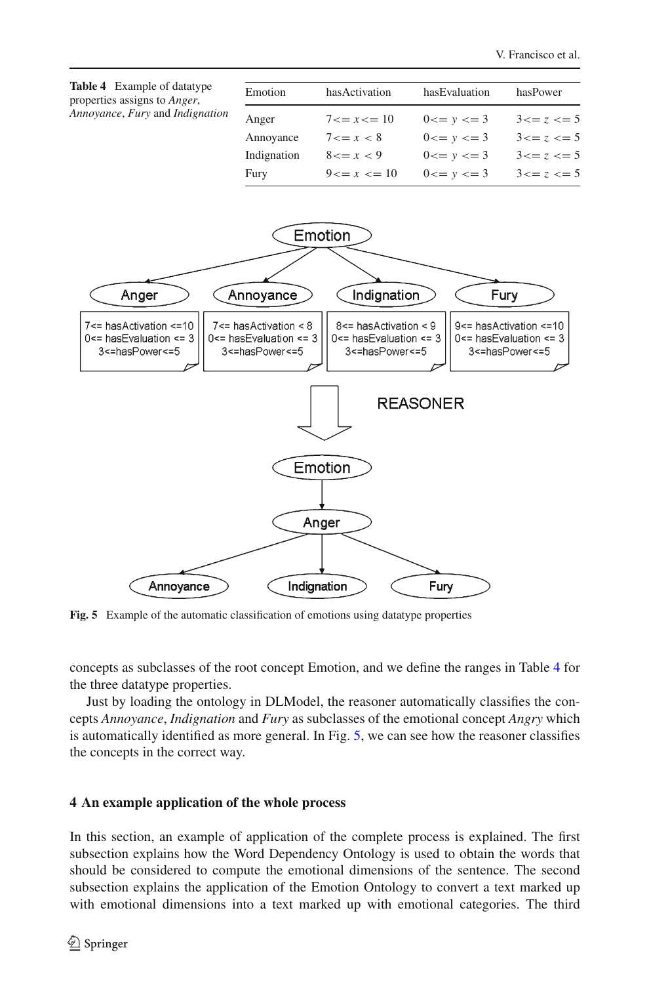<span id="page-15-1"></span>

<span id="page-15-2"></span>**Fig. 5** Example of the automatic classification of emotions using datatype properties

concepts as subclasses of the root concept Emotion, and we define the ranges in Table [4](#page-15-1) for the three datatype properties.

Just by loading the ontology in DLModel, the reasoner automatically classifies the concepts *Annoyance*, *Indignation* and *Fury* as subclasses of the emotional concept *Angry* which is automatically identified as more general. In Fig. [5,](#page-15-2) we can see how the reasoner classifies the concepts in the correct way.

#### <span id="page-15-0"></span>**4 An example application of the whole process**

In this section, an example of application of the complete process is explained. The first subsection explains how the Word Dependency Ontology is used to obtain the words that should be considered to compute the emotional dimensions of the sentence. The second subsection explains the application of the Emotion Ontology to convert a text marked up with emotional dimensions into a text marked up with emotional categories. The third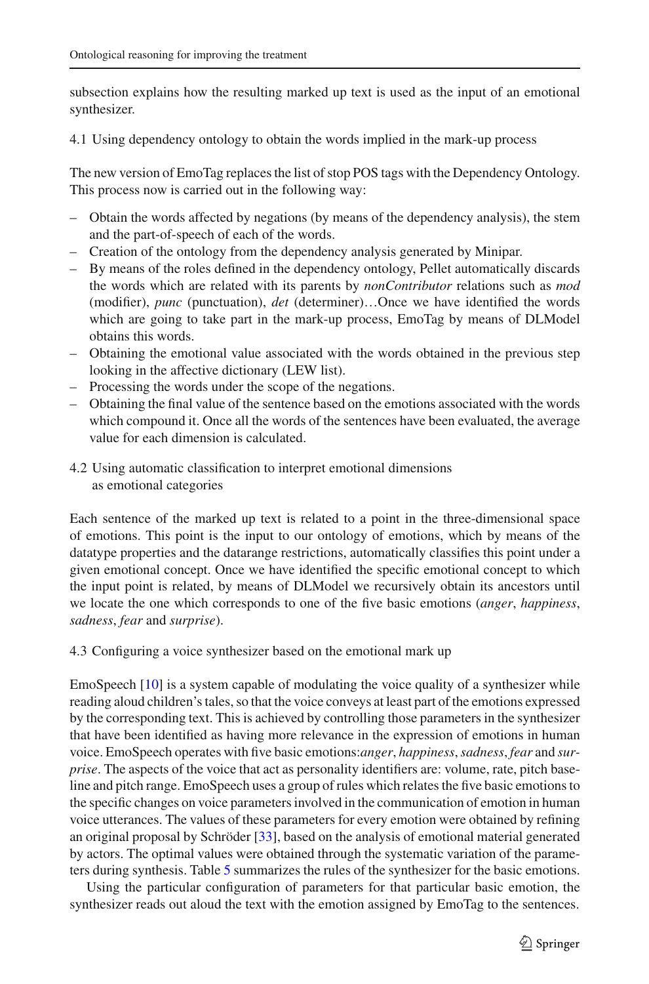subsection explains how the resulting marked up text is used as the input of an emotional synthesizer.

4.1 Using dependency ontology to obtain the words implied in the mark-up process

The new version of EmoTag replaces the list of stop POS tags with the Dependency Ontology. This process now is carried out in the following way:

- Obtain the words affected by negations (by means of the dependency analysis), the stem and the part-of-speech of each of the words.
- Creation of the ontology from the dependency analysis generated by Minipar.
- By means of the roles defined in the dependency ontology, Pellet automatically discards the words which are related with its parents by *nonContributor* relations such as *mod* (modifier), *punc* (punctuation), *det* (determiner)…Once we have identified the words which are going to take part in the mark-up process, EmoTag by means of DLModel obtains this words.
- Obtaining the emotional value associated with the words obtained in the previous step looking in the affective dictionary (LEW list).
- Processing the words under the scope of the negations.
- Obtaining the final value of the sentence based on the emotions associated with the words which compound it. Once all the words of the sentences have been evaluated, the average value for each dimension is calculated.
- 4.2 Using automatic classification to interpret emotional dimensions as emotional categories

Each sentence of the marked up text is related to a point in the three-dimensional space of emotions. This point is the input to our ontology of emotions, which by means of the datatype properties and the datarange restrictions, automatically classifies this point under a given emotional concept. Once we have identified the specific emotional concept to which the input point is related, by means of DLModel we recursively obtain its ancestors until we locate the one which corresponds to one of the five basic emotions (*anger*, *happiness*, *sadness*, *fear* and *surprise*).

4.3 Configuring a voice synthesizer based on the emotional mark up

EmoSpeech [\[10](#page-21-30)] is a system capable of modulating the voice quality of a synthesizer while reading aloud children's tales, so that the voice conveys at least part of the emotions expressed by the corresponding text. This is achieved by controlling those parameters in the synthesizer that have been identified as having more relevance in the expression of emotions in human voice. EmoSpeech operates with five basic emotions:*anger*, *happiness*,*sadness*, *fear* and *surprise*. The aspects of the voice that act as personality identifiers are: volume, rate, pitch baseline and pitch range. EmoSpeech uses a group of rules which relates the five basic emotions to the specific changes on voice parameters involved in the communication of emotion in human voice utterances. The values of these parameters for every emotion were obtained by refining an original proposal by Schröder [\[33\]](#page-21-2), based on the analysis of emotional material generated by actors. The optimal values were obtained through the systematic variation of the parameters during synthesis. Table [5](#page-17-1) summarizes the rules of the synthesizer for the basic emotions.

Using the particular configuration of parameters for that particular basic emotion, the synthesizer reads out aloud the text with the emotion assigned by EmoTag to the sentences.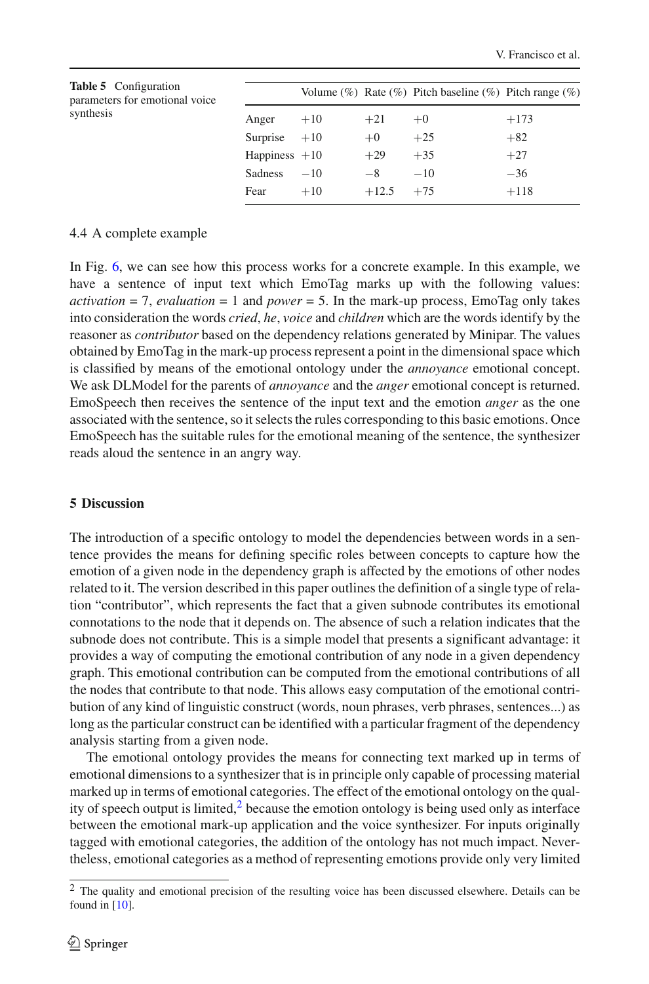<span id="page-17-1"></span>

| <b>Table 5</b> Configuration<br>parameters for emotional voice |                 |       |         | Volume $(\%)$ Rate $(\%)$ Pitch baseline $(\%)$ Pitch range $(\%)$ |        |
|----------------------------------------------------------------|-----------------|-------|---------|--------------------------------------------------------------------|--------|
| synthesis                                                      | Anger           | $+10$ | $+21$   | $+0$                                                               | $+173$ |
|                                                                | Surprise $+10$  |       | $+0$    | $+25$                                                              | $+82$  |
|                                                                | Happiness $+10$ |       | $+29$   | $+35$                                                              | $+27$  |
|                                                                | Sadness $-10$   |       | $-8$    | $-10$                                                              | $-36$  |
|                                                                | Fear            | $+10$ | $+12.5$ | $+75$                                                              | $+118$ |
|                                                                |                 |       |         |                                                                    |        |

## 4.4 A complete example

In Fig. [6,](#page-18-0) we can see how this process works for a concrete example. In this example, we have a sentence of input text which EmoTag marks up with the following values: *activation*  $= 7$ , *evaluation*  $= 1$  and *power*  $= 5$ . In the mark-up process, EmoTag only takes into consideration the words *cried*, *he*, *voice* and *children* which are the words identify by the reasoner as *contributor* based on the dependency relations generated by Minipar. The values obtained by EmoTag in the mark-up process represent a point in the dimensional space which is classified by means of the emotional ontology under the *annoyance* emotional concept. We ask DLModel for the parents of *annoyance* and the *anger* emotional concept is returned. EmoSpeech then receives the sentence of the input text and the emotion *anger* as the one associated with the sentence, so it selects the rules corresponding to this basic emotions. Once EmoSpeech has the suitable rules for the emotional meaning of the sentence, the synthesizer reads aloud the sentence in an angry way.

## <span id="page-17-0"></span>**5 Discussion**

The introduction of a specific ontology to model the dependencies between words in a sentence provides the means for defining specific roles between concepts to capture how the emotion of a given node in the dependency graph is affected by the emotions of other nodes related to it. The version described in this paper outlines the definition of a single type of relation "contributor", which represents the fact that a given subnode contributes its emotional connotations to the node that it depends on. The absence of such a relation indicates that the subnode does not contribute. This is a simple model that presents a significant advantage: it provides a way of computing the emotional contribution of any node in a given dependency graph. This emotional contribution can be computed from the emotional contributions of all the nodes that contribute to that node. This allows easy computation of the emotional contribution of any kind of linguistic construct (words, noun phrases, verb phrases, sentences...) as long as the particular construct can be identified with a particular fragment of the dependency analysis starting from a given node.

The emotional ontology provides the means for connecting text marked up in terms of emotional dimensions to a synthesizer that is in principle only capable of processing material marked up in terms of emotional categories. The effect of the emotional ontology on the quality of speech output is limited, $\frac{2}{3}$  because the emotion ontology is being used only as interface between the emotional mark-up application and the voice synthesizer. For inputs originally tagged with emotional categories, the addition of the ontology has not much impact. Nevertheless, emotional categories as a method of representing emotions provide only very limited

<span id="page-17-2"></span><sup>&</sup>lt;sup>2</sup> The quality and emotional precision of the resulting voice has been discussed elsewhere. Details can be found in  $[10]$ .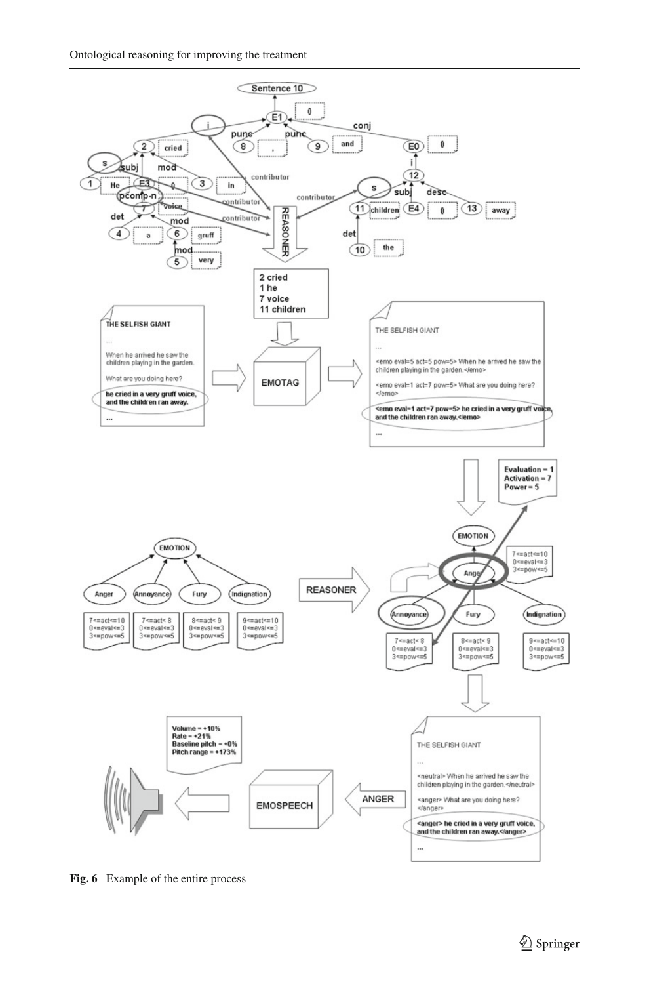

<span id="page-18-0"></span>**Fig. 6** Example of the entire process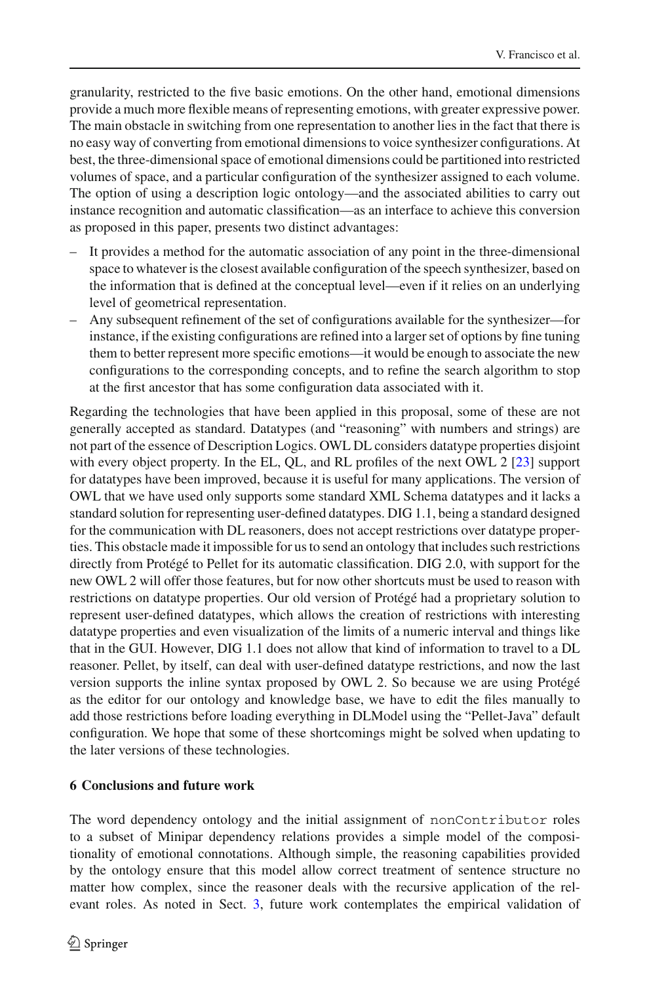granularity, restricted to the five basic emotions. On the other hand, emotional dimensions provide a much more flexible means of representing emotions, with greater expressive power. The main obstacle in switching from one representation to another lies in the fact that there is no easy way of converting from emotional dimensions to voice synthesizer configurations. At best, the three-dimensional space of emotional dimensions could be partitioned into restricted volumes of space, and a particular configuration of the synthesizer assigned to each volume. The option of using a description logic ontology—and the associated abilities to carry out instance recognition and automatic classification—as an interface to achieve this conversion as proposed in this paper, presents two distinct advantages:

- It provides a method for the automatic association of any point in the three-dimensional space to whatever is the closest available configuration of the speech synthesizer, based on the information that is defined at the conceptual level—even if it relies on an underlying level of geometrical representation.
- Any subsequent refinement of the set of configurations available for the synthesizer—for instance, if the existing configurations are refined into a larger set of options by fine tuning them to better represent more specific emotions—it would be enough to associate the new configurations to the corresponding concepts, and to refine the search algorithm to stop at the first ancestor that has some configuration data associated with it.

Regarding the technologies that have been applied in this proposal, some of these are not generally accepted as standard. Datatypes (and "reasoning" with numbers and strings) are not part of the essence of Description Logics. OWL DL considers datatype properties disjoint with every object property. In the EL, QL, and RL profiles of the next OWL 2 [\[23\]](#page-21-31) support for datatypes have been improved, because it is useful for many applications. The version of OWL that we have used only supports some standard XML Schema datatypes and it lacks a standard solution for representing user-defined datatypes. DIG 1.1, being a standard designed for the communication with DL reasoners, does not accept restrictions over datatype properties. This obstacle made it impossible for us to send an ontology that includes such restrictions directly from Protégé to Pellet for its automatic classification. DIG 2.0, with support for the new OWL 2 will offer those features, but for now other shortcuts must be used to reason with restrictions on datatype properties. Our old version of Protégé had a proprietary solution to represent user-defined datatypes, which allows the creation of restrictions with interesting datatype properties and even visualization of the limits of a numeric interval and things like that in the GUI. However, DIG 1.1 does not allow that kind of information to travel to a DL reasoner. Pellet, by itself, can deal with user-defined datatype restrictions, and now the last version supports the inline syntax proposed by OWL 2. So because we are using Protégé as the editor for our ontology and knowledge base, we have to edit the files manually to add those restrictions before loading everything in DLModel using the "Pellet-Java" default configuration. We hope that some of these shortcomings might be solved when updating to the later versions of these technologies.

## <span id="page-19-0"></span>**6 Conclusions and future work**

The word dependency ontology and the initial assignment of nonContributor roles to a subset of Minipar dependency relations provides a simple model of the compositionality of emotional connotations. Although simple, the reasoning capabilities provided by the ontology ensure that this model allow correct treatment of sentence structure no matter how complex, since the reasoner deals with the recursive application of the relevant roles. As noted in Sect. [3,](#page-8-0) future work contemplates the empirical validation of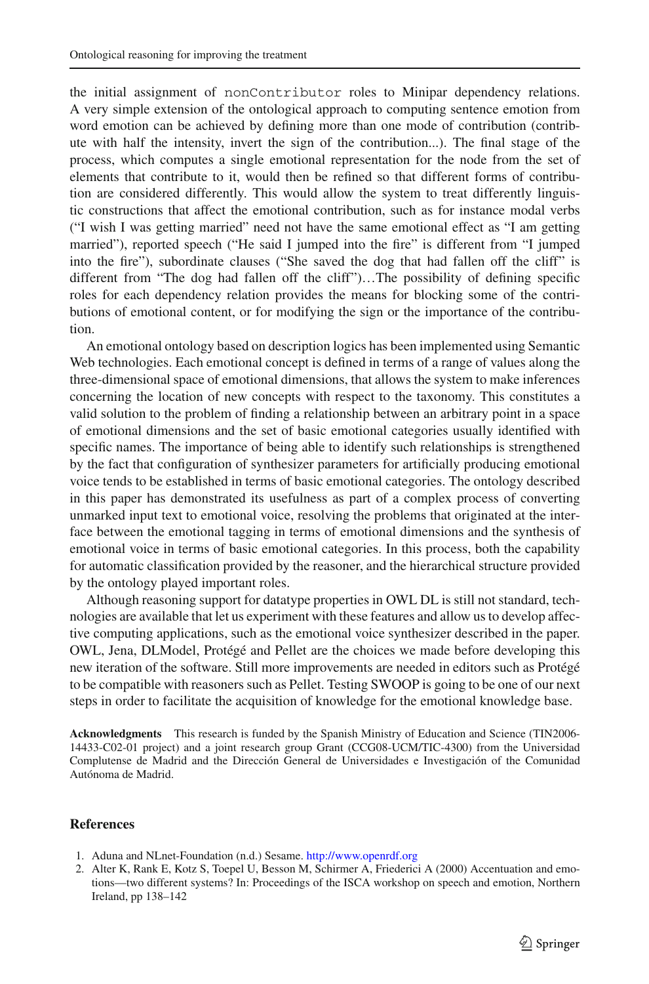the initial assignment of nonContributor roles to Minipar dependency relations. A very simple extension of the ontological approach to computing sentence emotion from word emotion can be achieved by defining more than one mode of contribution (contribute with half the intensity, invert the sign of the contribution...). The final stage of the process, which computes a single emotional representation for the node from the set of elements that contribute to it, would then be refined so that different forms of contribution are considered differently. This would allow the system to treat differently linguistic constructions that affect the emotional contribution, such as for instance modal verbs ("I wish I was getting married" need not have the same emotional effect as "I am getting married"), reported speech ("He said I jumped into the fire" is different from "I jumped into the fire"), subordinate clauses ("She saved the dog that had fallen off the cliff" is different from "The dog had fallen off the cliff")…The possibility of defining specific roles for each dependency relation provides the means for blocking some of the contributions of emotional content, or for modifying the sign or the importance of the contribution.

An emotional ontology based on description logics has been implemented using Semantic Web technologies. Each emotional concept is defined in terms of a range of values along the three-dimensional space of emotional dimensions, that allows the system to make inferences concerning the location of new concepts with respect to the taxonomy. This constitutes a valid solution to the problem of finding a relationship between an arbitrary point in a space of emotional dimensions and the set of basic emotional categories usually identified with specific names. The importance of being able to identify such relationships is strengthened by the fact that configuration of synthesizer parameters for artificially producing emotional voice tends to be established in terms of basic emotional categories. The ontology described in this paper has demonstrated its usefulness as part of a complex process of converting unmarked input text to emotional voice, resolving the problems that originated at the interface between the emotional tagging in terms of emotional dimensions and the synthesis of emotional voice in terms of basic emotional categories. In this process, both the capability for automatic classification provided by the reasoner, and the hierarchical structure provided by the ontology played important roles.

Although reasoning support for datatype properties in OWL DL is still not standard, technologies are available that let us experiment with these features and allow us to develop affective computing applications, such as the emotional voice synthesizer described in the paper. OWL, Jena, DLModel, Protégé and Pellet are the choices we made before developing this new iteration of the software. Still more improvements are needed in editors such as Protégé to be compatible with reasoners such as Pellet. Testing SWOOP is going to be one of our next steps in order to facilitate the acquisition of knowledge for the emotional knowledge base.

**Acknowledgments** This research is funded by the Spanish Ministry of Education and Science (TIN2006- 14433-C02-01 project) and a joint research group Grant (CCG08-UCM/TIC-4300) from the Universidad Complutense de Madrid and the Dirección General de Universidades e Investigación of the Comunidad Autónoma de Madrid.

#### **References**

- 1. Aduna and NLnet-Foundation (n.d.) Sesame. <http://www.openrdf.org>
- <span id="page-20-1"></span><span id="page-20-0"></span>2. Alter K, Rank E, Kotz S, Toepel U, Besson M, Schirmer A, Friederici A (2000) Accentuation and emotions—two different systems? In: Proceedings of the ISCA workshop on speech and emotion, Northern Ireland, pp 138–142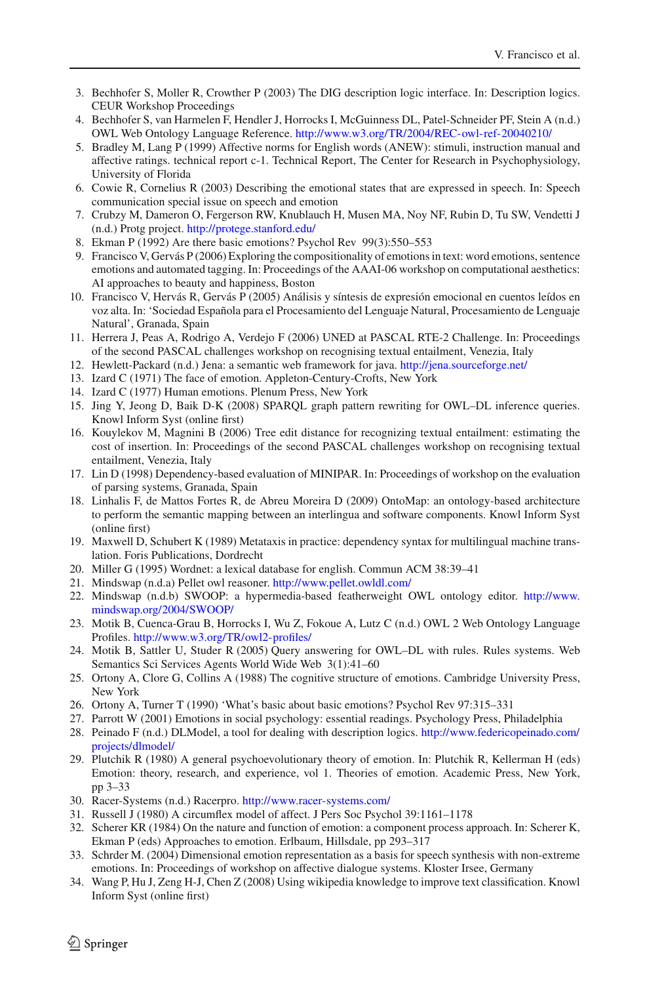- <span id="page-21-20"></span>3. Bechhofer S, Moller R, Crowther P (2003) The DIG description logic interface. In: Description logics. CEUR Workshop Proceedings
- <span id="page-21-11"></span>4. Bechhofer S, van Harmelen F, Hendler J, Horrocks I, McGuinness DL, Patel-Schneider PF, Stein A (n.d.) OWL Web Ontology Language Reference. <http://www.w3.org/TR/2004/REC-owl-ref-20040210/>
- <span id="page-21-26"></span>5. Bradley M, Lang P (1999) Affective norms for English words (ANEW): stimuli, instruction manual and affective ratings. technical report c-1. Technical Report, The Center for Research in Psychophysiology, University of Florida
- <span id="page-21-1"></span>6. Cowie R, Cornelius R (2003) Describing the emotional states that are expressed in speech. In: Speech communication special issue on speech and emotion
- <span id="page-21-17"></span>7. Crubzy M, Dameron O, Fergerson RW, Knublauch H, Musen MA, Noy NF, Rubin D, Tu SW, Vendetti J (n.d.) Protg project. <http://protege.stanford.edu/>
- 8. Ekman P (1992) Are there basic emotions? Psychol Rev 99(3):550–553
- <span id="page-21-25"></span><span id="page-21-7"></span>9. Francisco V, Gervás P (2006) Exploring the compositionality of emotions in text: word emotions, sentence emotions and automated tagging. In: Proceedings of the AAAI-06 workshop on computational aesthetics: AI approaches to beauty and happiness, Boston
- <span id="page-21-30"></span>10. Francisco V, Hervás R, Gervás P (2005) Análisis y síntesis de expresión emocional en cuentos leídos en voz alta. In: 'Sociedad Española para el Procesamiento del Lenguaje Natural, Procesamiento de Lenguaje Natural', Granada, Spain
- <span id="page-21-23"></span>11. Herrera J, Peas A, Rodrigo A, Verdejo F (2006) UNED at PASCAL RTE-2 Challenge. In: Proceedings of the second PASCAL challenges workshop on recognising textual entailment, Venezia, Italy
- <span id="page-21-12"></span>12. Hewlett-Packard (n.d.) Jena: a semantic web framework for java. <http://jena.sourceforge.net/>
- <span id="page-21-0"></span>13. Izard C (1971) The face of emotion. Appleton-Century-Crofts, New York
- <span id="page-21-8"></span>14. Izard C (1977) Human emotions. Plenum Press, New York
- <span id="page-21-13"></span>15. Jing Y, Jeong D, Baik D-K (2008) SPARQL graph pattern rewriting for OWL–DL inference queries. Knowl Inform Syst (online first)
- <span id="page-21-22"></span>16. Kouylekov M, Magnini B (2006) Tree edit distance for recognizing textual entailment: estimating the cost of insertion. In: Proceedings of the second PASCAL challenges workshop on recognising textual entailment, Venezia, Italy
- <span id="page-21-24"></span>17. Lin D (1998) Dependency-based evaluation of MINIPAR. In: Proceedings of workshop on the evaluation of parsing systems, Granada, Spain
- <span id="page-21-28"></span>18. Linhalis F, de Mattos Fortes R, de Abreu Moreira D (2009) OntoMap: an ontology-based architecture to perform the semantic mapping between an interlingua and software components. Knowl Inform Syst (online first)
- <span id="page-21-21"></span>19. Maxwell D, Schubert K (1989) Metataxis in practice: dependency syntax for multilingual machine translation. Foris Publications, Dordrecht
- <span id="page-21-27"></span>20. Miller G (1995) Wordnet: a lexical database for english. Commun ACM 38:39–41
- <span id="page-21-18"></span>21. Mindswap (n.d.a) Pellet owl reasoner. <http://www.pellet.owldl.com/>
- <span id="page-21-16"></span>22. Mindswap (n.d.b) SWOOP: a hypermedia-based featherweight OWL ontology editor. [http://www.](http://www.mindswap.org/2004/SWOOP/) [mindswap.org/2004/SWOOP/](http://www.mindswap.org/2004/SWOOP/)
- <span id="page-21-31"></span>23. Motik B, Cuenca-Grau B, Horrocks I, Wu Z, Fokoue A, Lutz C (n.d.) OWL 2 Web Ontology Language Profiles. <http://www.w3.org/TR/owl2-profiles/>
- <span id="page-21-15"></span>24. Motik B, Sattler U, Studer R (2005) Query answering for OWL–DL with rules. Rules systems. Web Semantics Sci Services Agents World Wide Web 3(1):41–60
- <span id="page-21-9"></span>25. Ortony A, Clore G, Collins A (1988) The cognitive structure of emotions. Cambridge University Press, New York
- <span id="page-21-5"></span>26. Ortony A, Turner T (1990) 'What's basic about basic emotions? Psychol Rev 97:315–331
- <span id="page-21-10"></span>27. Parrott W (2001) Emotions in social psychology: essential readings. Psychology Press, Philadelphia
- <span id="page-21-14"></span>28. Peinado F (n.d.) DLModel, a tool for dealing with description logics. [http://www.federicopeinado.com/](http://www.federicopeinado.com/projects/dlmodel/) [projects/dlmodel/](http://www.federicopeinado.com/projects/dlmodel/)
- <span id="page-21-6"></span>29. Plutchik R (1980) A general psychoevolutionary theory of emotion. In: Plutchik R, Kellerman H (eds) Emotion: theory, research, and experience, vol 1. Theories of emotion. Academic Press, New York, pp 3–33
- <span id="page-21-19"></span>30. Racer-Systems (n.d.) Racerpro. <http://www.racer-systems.com/>
- <span id="page-21-3"></span>31. Russell J (1980) A circumflex model of affect. J Pers Soc Psychol 39:1161–1178
- <span id="page-21-4"></span>32. Scherer KR (1984) On the nature and function of emotion: a component process approach. In: Scherer K, Ekman P (eds) Approaches to emotion. Erlbaum, Hillsdale, pp 293–317
- <span id="page-21-2"></span>33. Schrder M. (2004) Dimensional emotion representation as a basis for speech synthesis with non-extreme emotions. In: Proceedings of workshop on affective dialogue systems. Kloster Irsee, Germany
- <span id="page-21-29"></span>34. Wang P, Hu J, Zeng H-J, Chen Z (2008) Using wikipedia knowledge to improve text classification. Knowl Inform Syst (online first)